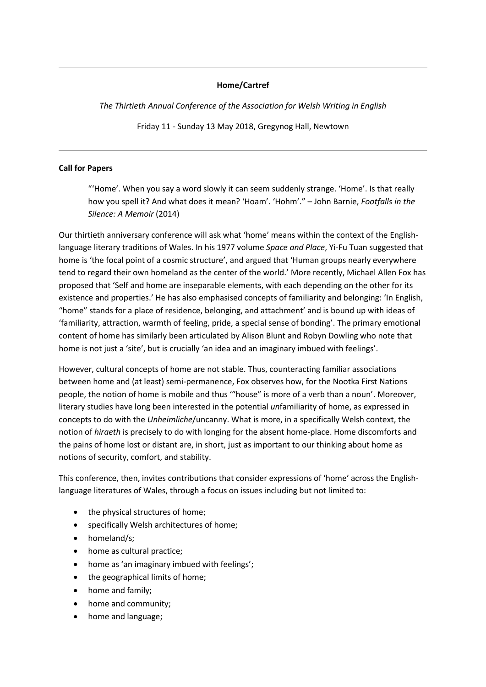## **Home/Cartref**

*The Thirtieth Annual Conference of the Association for Welsh Writing in English*

Friday 11 - Sunday 13 May 2018, Gregynog Hall, Newtown

## **Call for Papers**

"'Home'. When you say a word slowly it can seem suddenly strange. 'Home'. Is that really how you spell it? And what does it mean? 'Hoam'. 'Hohm'." – John Barnie, *Footfalls in the Silence: A Memoir* (2014)

Our thirtieth anniversary conference will ask what 'home' means within the context of the Englishlanguage literary traditions of Wales. In his 1977 volume *Space and Place*, Yi-Fu Tuan suggested that home is 'the focal point of a cosmic structure', and argued that 'Human groups nearly everywhere tend to regard their own homeland as the center of the world.' More recently, Michael Allen Fox has proposed that 'Self and home are inseparable elements, with each depending on the other for its existence and properties.' He has also emphasised concepts of familiarity and belonging: 'In English, "home" stands for a place of residence, belonging, and attachment' and is bound up with ideas of 'familiarity, attraction, warmth of feeling, pride, a special sense of bonding'. The primary emotional content of home has similarly been articulated by Alison Blunt and Robyn Dowling who note that home is not just a 'site', but is crucially 'an idea and an imaginary imbued with feelings'.

However, cultural concepts of home are not stable. Thus, counteracting familiar associations between home and (at least) semi-permanence, Fox observes how, for the Nootka First Nations people, the notion of home is mobile and thus '"house" is more of a verb than a noun'. Moreover, literary studies have long been interested in the potential *un*familiarity of home, as expressed in concepts to do with the *Unheimliche*/uncanny. What is more, in a specifically Welsh context, the notion of *hiraeth* is precisely to do with longing for the absent home-place. Home discomforts and the pains of home lost or distant are, in short, just as important to our thinking about home as notions of security, comfort, and stability.

This conference, then, invites contributions that consider expressions of 'home' across the Englishlanguage literatures of Wales, through a focus on issues including but not limited to:

- the physical structures of home;
- specifically Welsh architectures of home;
- homeland/s:
- home as cultural practice;
- home as 'an imaginary imbued with feelings';
- the geographical limits of home;
- home and family;
- home and community;
- home and language;